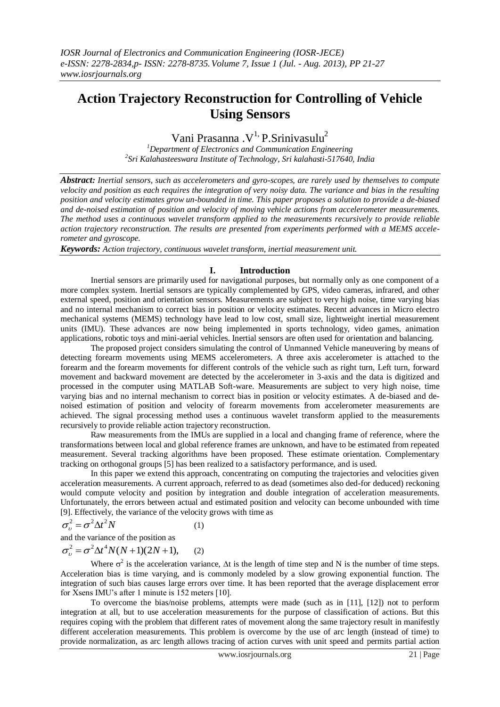# **Action Trajectory Reconstruction for Controlling of Vehicle Using Sensors**

Vani Prasanna . $V^{1}$ , P.Srinivasulu<sup>2</sup>

*<sup>1</sup>Department of Electronics and Communication Engineering 2 Sri Kalahasteeswara Institute of Technology, Sri kalahasti-517640, India*

*Abstract: Inertial sensors, such as accelerometers and gyro-scopes, are rarely used by themselves to compute velocity and position as each requires the integration of very noisy data. The variance and bias in the resulting position and velocity estimates grow un-bounded in time. This paper proposes a solution to provide a de-biased and de-noised estimation of position and velocity of moving vehicle actions from accelerometer measurements. The method uses a continuous wavelet transform applied to the measurements recursively to provide reliable action trajectory reconstruction. The results are presented from experiments performed with a MEMS accelerometer and gyroscope.*

*Keywords: Action trajectory, continuous wavelet transform, inertial measurement unit.* 

## **I. Introduction**

 Inertial sensors are primarily used for navigational purposes, but normally only as one component of a more complex system. Inertial sensors are typically complemented by GPS, video cameras, infrared, and other external speed, position and orientation sensors. Measurements are subject to very high noise, time varying bias and no internal mechanism to correct bias in position or velocity estimates. Recent advances in Micro electro mechanical systems (MEMS) technology have lead to low cost, small size, lightweight inertial measurement units (IMU). These advances are now being implemented in sports technology, video games, animation applications, robotic toys and mini-aerial vehicles. Inertial sensors are often used for orientation and balancing.

The proposed project considers simulating the control of Unmanned Vehicle maneuvering by means of detecting forearm movements using MEMS accelerometers. A three axis accelerometer is attached to the forearm and the forearm movements for different controls of the vehicle such as right turn, Left turn, forward movement and backward movement are detected by the accelerometer in 3-axis and the data is digitized and processed in the computer using MATLAB Soft-ware. Measurements are subject to very high noise, time varying bias and no internal mechanism to correct bias in position or velocity estimates. A de-biased and denoised estimation of position and velocity of forearm movements from accelerometer measurements are achieved. The signal processing method uses a continuous wavelet transform applied to the measurements recursively to provide reliable action trajectory reconstruction.

Raw measurements from the IMUs are supplied in a local and changing frame of reference, where the transformations between local and global reference frames are unknown, and have to be estimated from repeated measurement. Several tracking algorithms have been proposed. These estimate orientation. Complementary tracking on orthogonal groups [5] has been realized to a satisfactory performance, and is used.

In this paper we extend this approach, concentrating on computing the trajectories and velocities given acceleration measurements. A current approach, referred to as dead (sometimes also ded-for deduced) reckoning would compute velocity and position by integration and double integration of acceleration measurements. Unfortunately, the errors between actual and estimated position and velocity can become unbounded with time [9]. Effectively, the variance of the velocity grows with time as

$$
\sigma_v^2 = \sigma^2 \Delta t^2 N \tag{1}
$$

and the variance of the position as

$$
\sigma_v^2 = \sigma^2 \Delta t^4 N(N+1)(2N+1), \qquad (2)
$$

Where  $\sigma^2$  is the acceleration variance,  $\Delta t$  is the length of time step and N is the number of time steps. Acceleration bias is time varying, and is commonly modeled by a slow growing exponential function. The integration of such bias causes large errors over time. It has been reported that the average displacement error for Xsens IMU's after 1 minute is 152 meters [10].

To overcome the bias/noise problems, attempts were made (such as in [11], [12]) not to perform integration at all, but to use acceleration measurements for the purpose of classification of actions. But this requires coping with the problem that different rates of movement along the same trajectory result in manifestly different acceleration measurements. This problem is overcome by the use of arc length (instead of time) to provide normalization, as arc length allows tracing of action curves with unit speed and permits partial action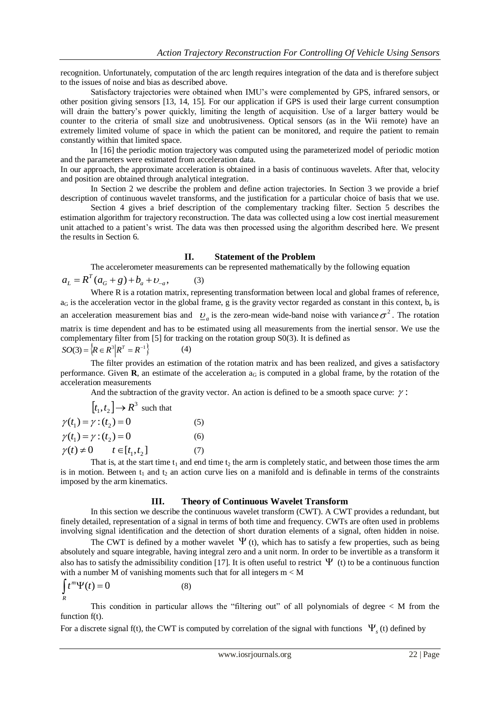recognition. Unfortunately, computation of the arc length requires integration of the data and is therefore subject to the issues of noise and bias as described above.

Satisfactory trajectories were obtained when IMU's were complemented by GPS, infrared sensors, or other position giving sensors [13, 14, 15]. For our application if GPS is used their large current consumption will drain the battery's power quickly, limiting the length of acquisition. Use of a larger battery would be counter to the criteria of small size and unobtrusiveness. Optical sensors (as in the Wii remote) have an extremely limited volume of space in which the patient can be monitored, and require the patient to remain constantly within that limited space.

In [16] the periodic motion trajectory was computed using the parameterized model of periodic motion and the parameters were estimated from acceleration data.

In our approach, the approximate acceleration is obtained in a basis of continuous wavelets. After that, velocity and position are obtained through analytical integration.

In Section 2 we describe the problem and define action trajectories. In Section 3 we provide a brief description of continuous wavelet transforms, and the justification for a particular choice of basis that we use.

Section 4 gives a brief description of the complementary tracking filter. Section 5 describes the estimation algorithm for trajectory reconstruction. The data was collected using a low cost inertial measurement unit attached to a patient's wrist. The data was then processed using the algorithm described here. We present the results in Section 6.

### **II. Statement of the Problem**

The accelerometer measurements can be represented mathematically by the following equation

$$
a_L = R^T (a_G + g) + b_a + b_{-a}, \tag{3}
$$

Where R is a rotation matrix, representing transformation between local and global frames of reference,  $a_G$  is the acceleration vector in the global frame, g is the gravity vector regarded as constant in this context,  $b_a$  is an acceleration measurement bias and  $\varrho_a$  is the zero-mean wide-band noise with variance  $\sigma^2$ . The rotation matrix is time dependent and has to be estimated using all measurements from the inertial sensor. We use the complementary filter from [5] for tracking on the rotation group S0(3). It is defined as  $SO(3) = \{ R \in R^3 | R^T = R^{-1} \}$ (4)

The filter provides an estimation of the rotation matrix and has been realized, and gives a satisfactory performance. Given  $\bf{R}$ , an estimate of the acceleration  $a_G$  is computed in a global frame, by the rotation of the acceleration measurements

And the subtraction of the gravity vector. An action is defined to be a smooth space curve:  $\gamma$ :

$$
[t1, t2] \rightarrow R3 \text{ such that}
$$
  
\n
$$
\gamma(t_1) = \gamma : (t_2) = 0 \tag{5}
$$
  
\n
$$
\gamma(t_1) = \gamma : (t_2) = 0 \tag{6}
$$
  
\n
$$
\gamma(t) \neq 0 \qquad t \in [t_1, t_2] \tag{7}
$$

That is, at the start time  $t_1$  and end time  $t_2$  the arm is completely static, and between those times the arm is in motion. Between  $t_1$  and  $t_2$  an action curve lies on a manifold and is definable in terms of the constraints imposed by the arm kinematics.

## **III. Theory of Continuous Wavelet Transform**

In this section we describe the continuous wavelet transform (CWT). A CWT provides a redundant, but finely detailed, representation of a signal in terms of both time and frequency. CWTs are often used in problems involving signal identification and the detection of short duration elements of a signal, often hidden in noise.

The CWT is defined by a mother wavelet  $\Psi$  (t), which has to satisfy a few properties, such as being absolutely and square integrable, having integral zero and a unit norm. In order to be invertible as a transform it also has to satisfy the admissibility condition [17]. It is often useful to restrict  $\Psi$  (t) to be a continuous function with a number M of vanishing moments such that for all integers  $m < M$ 

$$
\int_R t^m \Psi(t) = 0
$$

This condition in particular allows the "filtering out" of all polynomials of degree  $\lt M$  from the function  $f(t)$ .

For a discrete signal f(t), the CWT is computed by correlation of the signal with functions  $\Psi_s$  (t) defined by

(8)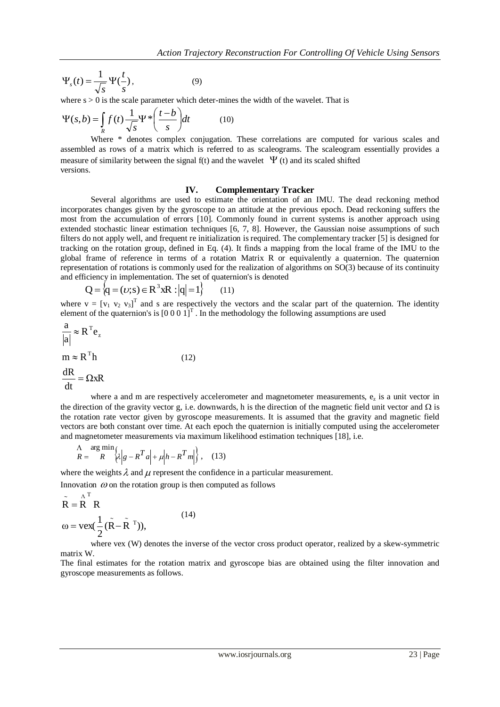$$
\Psi_s(t) = \frac{1}{\sqrt{s}} \Psi(\frac{t}{s}),\tag{9}
$$

where  $s > 0$  is the scale parameter which deter-mines the width of the wavelet. That is

$$
\Psi(s,b) = \int_{R} f(t) \frac{1}{\sqrt{s}} \Psi \ast \left(\frac{t-b}{s}\right) dt \tag{10}
$$

Where \* denotes complex conjugation. These correlations are computed for various scales and assembled as rows of a matrix which is referred to as scaleograms. The scaleogram essentially provides a measure of similarity between the signal  $f(t)$  and the wavelet  $\Psi(t)$  and its scaled shifted versions.

#### **IV. Complementary Tracker**

Several algorithms are used to estimate the orientation of an IMU. The dead reckoning method incorporates changes given by the gyroscope to an attitude at the previous epoch. Dead reckoning suffers the most from the accumulation of errors [10]. Commonly found in current systems is another approach using extended stochastic linear estimation techniques [6, 7, 8]. However, the Gaussian noise assumptions of such filters do not apply well, and frequent re initialization is required. The complementary tracker [5] is designed for tracking on the rotation group, defined in Eq. (4). It finds a mapping from the local frame of the IMU to the global frame of reference in terms of a rotation Matrix R or equivalently a quaternion. The quaternion representation of rotations is commonly used for the realization of algorithms on SO(3) because of its continuity and efficiency in implementation. The set of quaternion's is denoted

$$
Q = \{q = (\nu; s) \in R^3 xR : |q| = 1\}
$$
 (11)

where  $v = [v_1 \ v_2 \ v_3]^T$  and s are respectively the vectors and the scalar part of the quaternion. The identity element of the quaternion's is  $[0\ 0\ 0\ 1]^T$ . In the methodology the following assumptions are used

$$
\frac{a}{|a|} \approx R^{T}e_{z}
$$
  
\n
$$
m \approx R^{T}h
$$
  
\n
$$
\frac{dR}{dt} = \Omega xR
$$
\n(12)

where a and m are respectively accelerometer and magnetometer measurements,  $e<sub>z</sub>$  is a unit vector in the direction of the gravity vector g, i.e. downwards, h is the direction of the magnetic field unit vector and  $\Omega$  is the rotation rate vector given by gyroscope measurements. It is assumed that the gravity and magnetic field vectors are both constant over time. At each epoch the quaternion is initially computed using the accelerometer and magnetometer measurements via maximum likelihood estimation techniques [18], i.e.

$$
\frac{\Lambda}{R} = \frac{\arg \min}{R} \left\{ \lambda \middle| g - R^T a \middle| + \mu \middle| h - R^T m \middle| \right\}, \quad (13)
$$

where the weights  $\lambda$  and  $\mu$  represent the confidence in a particular measurement.

Innovation  $\omega$  on the rotation group is then computed as follows

$$
\tilde{R} = \overset{\wedge}{R}^T R
$$
  
\n
$$
\omega = \text{vex}(\frac{1}{2}(\tilde{R} - \tilde{R}^T)),
$$
\n(14)

where vex (W) denotes the inverse of the vector cross product operator, realized by a skew-symmetric matrix W.

The final estimates for the rotation matrix and gyroscope bias are obtained using the filter innovation and gyroscope measurements as follows.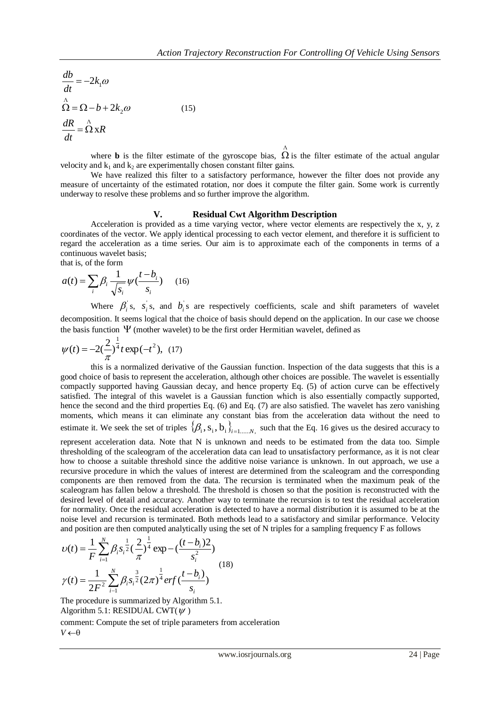$$
\frac{db}{dt} = -2k_1\omega
$$
  
\n
$$
\hat{\Omega} = \Omega - b + 2k_2\omega
$$
  
\n
$$
\frac{dR}{dt} = \hat{\Omega} xR
$$
\n(15)

where **b** is the filter estimate of the gyroscope bias,  $\hat{\Omega}$  is the filter estimate of the actual angular velocity and  $k_1$  and  $k_2$  are experimentally chosen constant filter gains.

We have realized this filter to a satisfactory performance, however the filter does not provide any measure of uncertainty of the estimated rotation, nor does it compute the filter gain. Some work is currently underway to resolve these problems and so further improve the algorithm.

#### **V. Residual Cwt Algorithm Description**

Acceleration is provided as a time varying vector, where vector elements are respectively the x, y, z coordinates of the vector. We apply identical processing to each vector element, and therefore it is sufficient to regard the acceleration as a time series. Our aim is to approximate each of the components in terms of a continuous wavelet basis;

that is, of the form

$$
a(t) = \sum_{i} \beta_i \frac{1}{\sqrt{s_i}} \psi(\frac{t - b_i}{s_i}) \qquad (16)
$$

Where  $\beta_i$ 's,  $s_i$ 's, and  $b_i$ 's are respectively coefficients, scale and shift parameters of wavelet decomposition. It seems logical that the choice of basis should depend on the application. In our case we choose the basis function  $\Psi$  (mother wavelet) to be the first order Hermitian wavelet, defined as

$$
\psi(t) = -2\left(\frac{2}{\pi}\right)^{\frac{1}{4}} t \exp(-t^2), \tag{17}
$$

this is a normalized derivative of the Gaussian function. Inspection of the data suggests that this is a good choice of basis to represent the acceleration, although other choices are possible. The wavelet is essentially compactly supported having Gaussian decay, and hence property Eq. (5) of action curve can be effectively satisfied. The integral of this wavelet is a Gaussian function which is also essentially compactly supported, hence the second and the third properties Eq. (6) and Eq. (7) are also satisfied. The wavelet has zero vanishing moments, which means it can eliminate any constant bias from the acceleration data without the need to estimate it. We seek the set of triples  $\{\beta_i, s_i, b_i\}_{i=1,\dots,N}$  such that the Eq. 16 gives us the desired accuracy to

represent acceleration data. Note that N is unknown and needs to be estimated from the data too. Simple thresholding of the scaleogram of the acceleration data can lead to unsatisfactory performance, as it is not clear how to choose a suitable threshold since the additive noise variance is unknown. In out approach, we use a recursive procedure in which the values of interest are determined from the scaleogram and the corresponding components are then removed from the data. The recursion is terminated when the maximum peak of the scaleogram has fallen below a threshold. The threshold is chosen so that the position is reconstructed with the desired level of detail and accuracy. Another way to terminate the recursion is to test the residual acceleration for normality. Once the residual acceleration is detected to have a normal distribution it is assumed to be at the noise level and recursion is terminated. Both methods lead to a satisfactory and similar performance. Velocity and position are then computed analytically using the set of N triples for a sampling frequency F as follows

$$
v(t) = \frac{1}{F} \sum_{i=1}^{N} \beta_i s_i^{\frac{1}{2}} \left(\frac{2}{\pi}\right)^{\frac{1}{4}} \exp\left(-\frac{(t-b_i)2}{s_i^2}\right)
$$
  

$$
\gamma(t) = \frac{1}{2F^2} \sum_{i=1}^{N} \beta_i s_i^{\frac{3}{2}} (2\pi)^{\frac{1}{4}} erf\left(\frac{t-b_i}{s_i}\right)
$$
 (18)

The procedure is summarized by Algorithm 5.1. Algorithm 5.1: RESIDUAL CWT( $\psi$ )

comment: Compute the set of triple parameters from acceleration  $V \leftarrow \theta$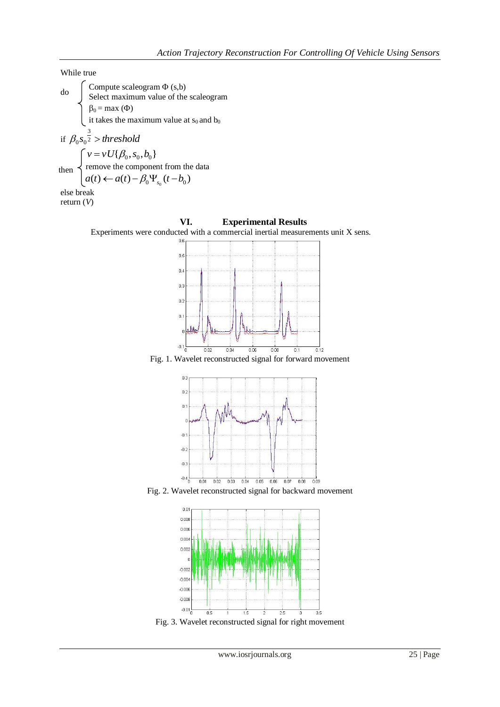While true do if  $\beta_0 s_0^{\frac{3}{2}} >$  *threshold*  $\beta_0 s_{\scriptscriptstyle 0}$  $\left[ v = v U(\beta_0, s_0, b_0) \right]$  $r_{\text{then}} \leq r_{\text{remove}}$  the component from the data  $a(t) \leftarrow a(t) - \beta_0 \Psi_{s_0} (t - b_0)$ else break return (*V*) Compute scaleogram  $\Phi$  (s,b) Select maximum value of the scaleogram  $\beta_0 = \max(\Phi)$ it takes the maximum value at  $s_0$  and  $b_0$ then

## **VI. Experimental Results**

Experiments were conducted with a commercial inertial measurements unit X sens.



Fig. 1. Wavelet reconstructed signal for forward movement



Fig. 2. Wavelet reconstructed signal for backward movement



Fig. 3. Wavelet reconstructed signal for right movement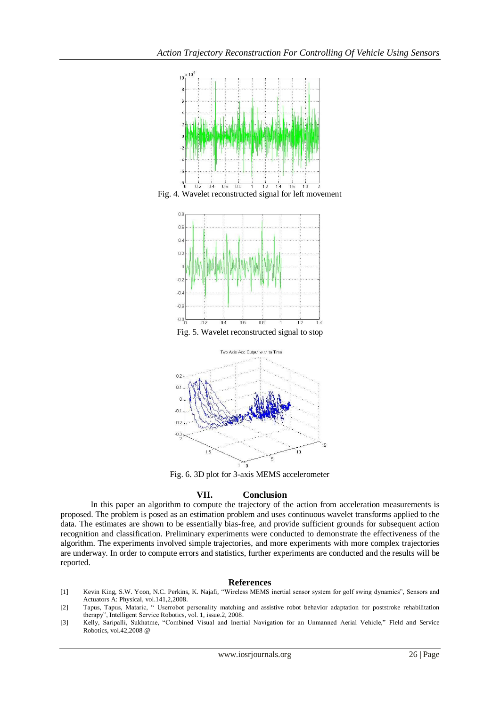

Fig. 4. Wavelet reconstructed signal for left movement



Fig. 5. Wavelet reconstructed signal to stop



Fig. 6. 3D plot for 3-axis MEMS accelerometer

# **VII. Conclusion**

In this paper an algorithm to compute the trajectory of the action from acceleration measurements is proposed. The problem is posed as an estimation problem and uses continuous wavelet transforms applied to the data. The estimates are shown to be essentially bias-free, and provide sufficient grounds for subsequent action recognition and classification. Preliminary experiments were conducted to demonstrate the effectiveness of the algorithm. The experiments involved simple trajectories, and more experiments with more complex trajectories are underway. In order to compute errors and statistics, further experiments are conducted and the results will be reported.

# **References**

- [1] Kevin King, S.W. Yoon, N.C. Perkins, K. Najafi, "Wireless MEMS inertial sensor system for golf swing dynamics", Sensors and Actuators A: Physical, vol.141,2,2008.
- [2] Tapus, Tapus, Mataric, " Userrobot personality matching and assistive robot behavior adaptation for poststroke rehabilitation therapy", Intelligent Service Robotics, vol. 1, issue.2, 2008.
- [3] Kelly, Saripalli, Sukhatme, "Combined Visual and Inertial Navigation for an Unmanned Aerial Vehicle," Field and Service Robotics, vol.42,2008 @